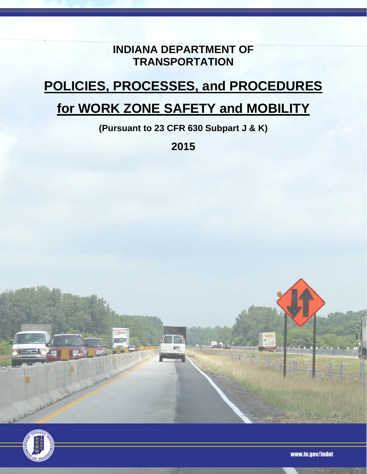## **INDIANA DEPARTMENT OF TRANSPORTATION**

# **POLICIES, PROCESSES, and PROCEDURES**

## **for WORK ZONE SAFETY and MOBILITY**

**(Pursuant to 23 CFR 630 Subpart J & K)** 

**2015** 





www.in.gov/indot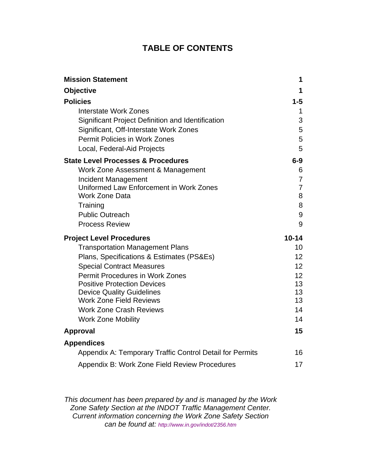## **TABLE OF CONTENTS**

| <b>Mission Statement</b>                                 | 1               |
|----------------------------------------------------------|-----------------|
| <b>Objective</b>                                         | 1               |
| <b>Policies</b>                                          | $1 - 5$         |
| <b>Interstate Work Zones</b>                             | 1               |
| Significant Project Definition and Identification        | 3               |
| Significant, Off-Interstate Work Zones                   | 5               |
| <b>Permit Policies in Work Zones</b>                     | 5               |
| Local, Federal-Aid Projects                              | 5               |
| <b>State Level Processes &amp; Procedures</b>            | $6-9$           |
| Work Zone Assessment & Management                        | 6               |
| Incident Management                                      | 7               |
| Uniformed Law Enforcement in Work Zones                  | $\overline{7}$  |
| <b>Work Zone Data</b>                                    | 8               |
| Training                                                 | 8               |
| <b>Public Outreach</b>                                   | 9               |
| <b>Process Review</b>                                    | 9               |
| <b>Project Level Procedures</b>                          | $10 - 14$       |
|                                                          |                 |
| <b>Transportation Management Plans</b>                   | 10              |
| Plans, Specifications & Estimates (PS&Es)                | 12 <sup>2</sup> |
| <b>Special Contract Measures</b>                         | 12 <sup>2</sup> |
| <b>Permit Procedures in Work Zones</b>                   | 12 <sup>2</sup> |
| <b>Positive Protection Devices</b>                       | 13              |
| <b>Device Quality Guidelines</b>                         | 13              |
| <b>Work Zone Field Reviews</b>                           | 13              |
| <b>Work Zone Crash Reviews</b>                           | 14              |
| <b>Work Zone Mobility</b>                                | 14              |
| <b>Approval</b>                                          | 15              |
| <b>Appendices</b>                                        |                 |
| Appendix A: Temporary Traffic Control Detail for Permits | 16              |

*This document has been prepared by and is managed by the Work Zone Safety Section at the INDOT Traffic Management Center. Current information concerning the Work Zone Safety Section can be found at: http://www.in.gov/indot/2356.htm*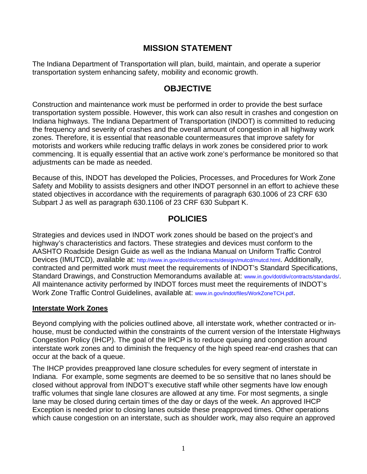## **MISSION STATEMENT**

The Indiana Department of Transportation will plan, build, maintain, and operate a superior transportation system enhancing safety, mobility and economic growth.

## **OBJECTIVE**

Construction and maintenance work must be performed in order to provide the best surface transportation system possible. However, this work can also result in crashes and congestion on Indiana highways. The Indiana Department of Transportation (INDOT) is committed to reducing the frequency and severity of crashes and the overall amount of congestion in all highway work zones. Therefore, it is essential that reasonable countermeasures that improve safety for motorists and workers while reducing traffic delays in work zones be considered prior to work commencing. It is equally essential that an active work zone's performance be monitored so that adjustments can be made as needed.

Because of this, INDOT has developed the Policies, Processes, and Procedures for Work Zone Safety and Mobility to assists designers and other INDOT personnel in an effort to achieve these stated objectives in accordance with the requirements of paragraph 630.1006 of 23 CRF 630 Subpart J as well as paragraph 630.1106 of 23 CRF 630 Subpart K.

## **POLICIES**

Strategies and devices used in INDOT work zones should be based on the project's and highway's characteristics and factors. These strategies and devices must conform to the AASHTO Roadside Design Guide as well as the Indiana Manual on Uniform Traffic Control Devices (IMUTCD), available at: http://www.in.gov/dot/div/contracts/design/mutcd/mutcd.html. Additionally, contracted and permitted work must meet the requirements of INDOT's Standard Specifications, Standard Drawings, and Construction Memorandums available at: www.in.gov/dot/div/contracts/standards/. All maintenance activity performed by INDOT forces must meet the requirements of INDOT's Work Zone Traffic Control Guidelines, available at: www.in.gov/indot/files/WorkZoneTCH.pdf.

#### **Interstate Work Zones**

Beyond complying with the policies outlined above, all interstate work, whether contracted or inhouse, must be conducted within the constraints of the current version of the Interstate Highways Congestion Policy (IHCP). The goal of the IHCP is to reduce queuing and congestion around interstate work zones and to diminish the frequency of the high speed rear-end crashes that can occur at the back of a queue.

The IHCP provides preapproved lane closure schedules for every segment of interstate in Indiana. For example, some segments are deemed to be so sensitive that no lanes should be closed without approval from INDOT's executive staff while other segments have low enough traffic volumes that single lane closures are allowed at any time. For most segments, a single lane may be closed during certain times of the day or days of the week. An approved IHCP Exception is needed prior to closing lanes outside these preapproved times. Other operations which cause congestion on an interstate, such as shoulder work, may also require an approved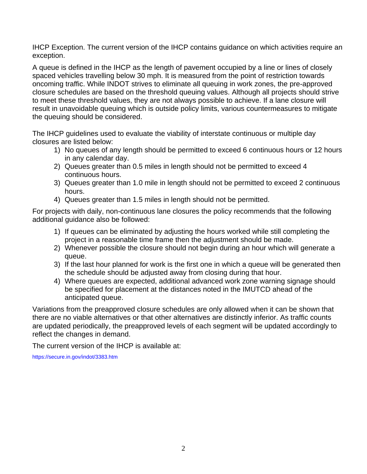IHCP Exception. The current version of the IHCP contains guidance on which activities require an exception.

A queue is defined in the IHCP as the length of pavement occupied by a line or lines of closely spaced vehicles travelling below 30 mph. It is measured from the point of restriction towards oncoming traffic. While INDOT strives to eliminate all queuing in work zones, the pre-approved closure schedules are based on the threshold queuing values. Although all projects should strive to meet these threshold values, they are not always possible to achieve. If a lane closure will result in unavoidable queuing which is outside policy limits, various countermeasures to mitigate the queuing should be considered.

The IHCP guidelines used to evaluate the viability of interstate continuous or multiple day closures are listed below:

- 1) No queues of any length should be permitted to exceed 6 continuous hours or 12 hours in any calendar day.
- 2) Queues greater than 0.5 miles in length should not be permitted to exceed 4 continuous hours.
- 3) Queues greater than 1.0 mile in length should not be permitted to exceed 2 continuous hours.
- 4) Queues greater than 1.5 miles in length should not be permitted.

For projects with daily, non-continuous lane closures the policy recommends that the following additional guidance also be followed:

- 1) If queues can be eliminated by adjusting the hours worked while still completing the project in a reasonable time frame then the adjustment should be made.
- 2) Whenever possible the closure should not begin during an hour which will generate a queue.
- 3) If the last hour planned for work is the first one in which a queue will be generated then the schedule should be adjusted away from closing during that hour.
- 4) Where queues are expected, additional advanced work zone warning signage should be specified for placement at the distances noted in the IMUTCD ahead of the anticipated queue.

Variations from the preapproved closure schedules are only allowed when it can be shown that there are no viable alternatives or that other alternatives are distinctly inferior. As traffic counts are updated periodically, the preapproved levels of each segment will be updated accordingly to reflect the changes in demand.

The current version of the IHCP is available at:

https://secure.in.gov/indot/3383.htm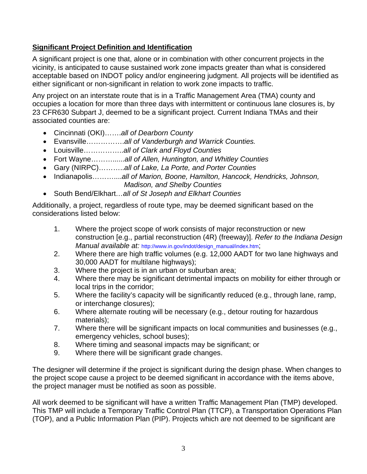### **Significant Project Definition and Identification**

A significant project is one that, alone or in combination with other concurrent projects in the vicinity, is anticipated to cause sustained work zone impacts greater than what is considered acceptable based on INDOT policy and/or engineering judgment. All projects will be identified as either significant or non-significant in relation to work zone impacts to traffic.

Any project on an interstate route that is in a Traffic Management Area (TMA) county and occupies a location for more than three days with intermittent or continuous lane closures is, by 23 CFR630 Subpart J, deemed to be a significant project. Current Indiana TMAs and their associated counties are:

- Cincinnati (OKI)…….*all of Dearborn County*
- Evansville…………….*all of Vanderburgh and Warrick Counties.*
- Louisville……………..*all of Clark and Floyd Counties*
- Fort Wayne………......*all of Allen, Huntington, and Whitley Counties*
- Gary (NIRPC)………..*all of Lake, La Porte, and Porter Counties*
- Indianapolis………....*all of Marion, Boone, Hamilton, Hancock, Hendricks, Johnson, Madison, and Shelby Counties*
- South Bend/Elkhart*…all of St Joseph and Elkhart Counties*

Additionally, a project, regardless of route type, may be deemed significant based on the considerations listed below:

- 1. Where the project scope of work consists of major reconstruction or new construction [e.g., partial reconstruction (4R) (freeway)]. *Refer to the Indiana Design Manual available at:* http://www.in.gov/indot/design\_manual/index.htm;
- 2. Where there are high traffic volumes (e.g. 12,000 AADT for two lane highways and 30,000 AADT for multilane highways);
- 3. Where the project is in an urban or suburban area;
- 4. Where there may be significant detrimental impacts on mobility for either through or local trips in the corridor;
- 5. Where the facility's capacity will be significantly reduced (e.g., through lane, ramp, or interchange closures);
- 6. Where alternate routing will be necessary (e.g., detour routing for hazardous materials);
- 7. Where there will be significant impacts on local communities and businesses (e.g., emergency vehicles, school buses);
- 8. Where timing and seasonal impacts may be significant; or
- 9. Where there will be significant grade changes.

The designer will determine if the project is significant during the design phase. When changes to the project scope cause a project to be deemed significant in accordance with the items above, the project manager must be notified as soon as possible.

All work deemed to be significant will have a written Traffic Management Plan (TMP) developed. This TMP will include a Temporary Traffic Control Plan (TTCP), a Transportation Operations Plan (TOP), and a Public Information Plan (PIP). Projects which are not deemed to be significant are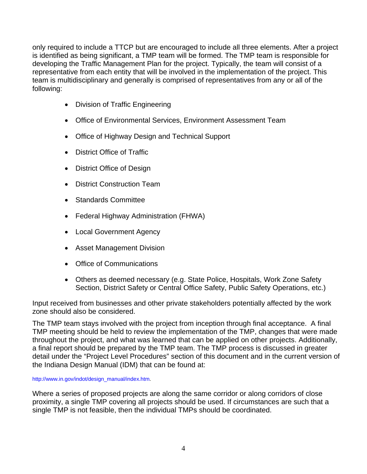only required to include a TTCP but are encouraged to include all three elements. After a project is identified as being significant, a TMP team will be formed. The TMP team is responsible for developing the Traffic Management Plan for the project. Typically, the team will consist of a representative from each entity that will be involved in the implementation of the project. This team is multidisciplinary and generally is comprised of representatives from any or all of the following:

- Division of Traffic Engineering
- Office of Environmental Services, Environment Assessment Team
- Office of Highway Design and Technical Support
- District Office of Traffic
- District Office of Design
- District Construction Team
- Standards Committee
- Federal Highway Administration (FHWA)
- Local Government Agency
- Asset Management Division
- Office of Communications
- Others as deemed necessary (e.g. State Police, Hospitals, Work Zone Safety Section, District Safety or Central Office Safety, Public Safety Operations, etc.)

Input received from businesses and other private stakeholders potentially affected by the work zone should also be considered.

The TMP team stays involved with the project from inception through final acceptance. A final TMP meeting should be held to review the implementation of the TMP, changes that were made throughout the project, and what was learned that can be applied on other projects. Additionally, a final report should be prepared by the TMP team. The TMP process is discussed in greater detail under the "Project Level Procedures" section of this document and in the current version of the Indiana Design Manual (IDM) that can be found at:

http://www.in.gov/indot/design\_manual/index.htm.

Where a series of proposed projects are along the same corridor or along corridors of close proximity, a single TMP covering all projects should be used. If circumstances are such that a single TMP is not feasible, then the individual TMPs should be coordinated.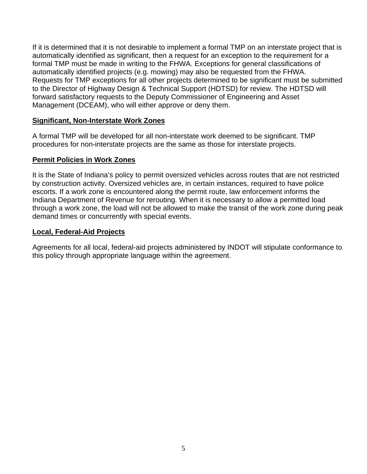If it is determined that it is not desirable to implement a formal TMP on an interstate project that is automatically identified as significant, then a request for an exception to the requirement for a formal TMP must be made in writing to the FHWA. Exceptions for general classifications of automatically identified projects (e.g. mowing) may also be requested from the FHWA. Requests for TMP exceptions for all other projects determined to be significant must be submitted to the Director of Highway Design & Technical Support (HDTSD) for review. The HDTSD will forward satisfactory requests to the Deputy Commissioner of Engineering and Asset Management (DCEAM), who will either approve or deny them.

#### **Significant, Non-Interstate Work Zones**

A formal TMP will be developed for all non-interstate work deemed to be significant. TMP procedures for non-interstate projects are the same as those for interstate projects.

#### **Permit Policies in Work Zones**

It is the State of Indiana's policy to permit oversized vehicles across routes that are not restricted by construction activity. Oversized vehicles are, in certain instances, required to have police escorts. If a work zone is encountered along the permit route, law enforcement informs the Indiana Department of Revenue for rerouting. When it is necessary to allow a permitted load through a work zone, the load will not be allowed to make the transit of the work zone during peak demand times or concurrently with special events.

#### **Local, Federal-Aid Projects**

Agreements for all local, federal-aid projects administered by INDOT will stipulate conformance to this policy through appropriate language within the agreement.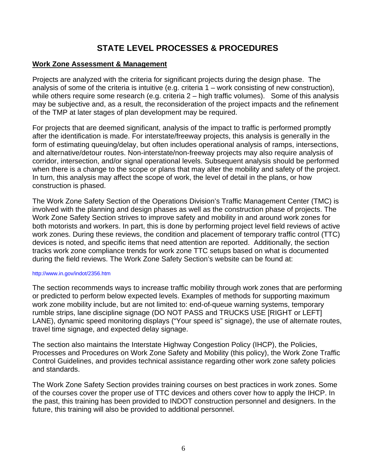## **STATE LEVEL PROCESSES & PROCEDURES**

#### **Work Zone Assessment & Management**

Projects are analyzed with the criteria for significant projects during the design phase. The analysis of some of the criteria is intuitive (e.g. criteria 1 – work consisting of new construction), while others require some research (e.g. criteria 2 – high traffic volumes). Some of this analysis may be subjective and, as a result, the reconsideration of the project impacts and the refinement of the TMP at later stages of plan development may be required.

For projects that are deemed significant, analysis of the impact to traffic is performed promptly after the identification is made. For interstate/freeway projects, this analysis is generally in the form of estimating queuing/delay, but often includes operational analysis of ramps, intersections, and alternative/detour routes. Non-interstate/non-freeway projects may also require analysis of corridor, intersection, and/or signal operational levels. Subsequent analysis should be performed when there is a change to the scope or plans that may alter the mobility and safety of the project. In turn, this analysis may affect the scope of work, the level of detail in the plans, or how construction is phased.

The Work Zone Safety Section of the Operations Division's Traffic Management Center (TMC) is involved with the planning and design phases as well as the construction phase of projects. The Work Zone Safety Section strives to improve safety and mobility in and around work zones for both motorists and workers. In part, this is done by performing project level field reviews of active work zones. During these reviews, the condition and placement of temporary traffic control (TTC) devices is noted, and specific items that need attention are reported. Additionally, the section tracks work zone compliance trends for work zone TTC setups based on what is documented during the field reviews. The Work Zone Safety Section's website can be found at:

#### http://www.in.gov/indot/2356.htm

The section recommends ways to increase traffic mobility through work zones that are performing or predicted to perform below expected levels. Examples of methods for supporting maximum work zone mobility include, but are not limited to: end-of-queue warning systems, temporary rumble strips, lane discipline signage (DO NOT PASS and TRUCKS USE [RIGHT or LEFT] LANE), dynamic speed monitoring displays ("Your speed is" signage), the use of alternate routes, travel time signage, and expected delay signage.

The section also maintains the Interstate Highway Congestion Policy (IHCP), the Policies, Processes and Procedures on Work Zone Safety and Mobility (this policy), the Work Zone Traffic Control Guidelines, and provides technical assistance regarding other work zone safety policies and standards.

The Work Zone Safety Section provides training courses on best practices in work zones. Some of the courses cover the proper use of TTC devices and others cover how to apply the IHCP. In the past, this training has been provided to INDOT construction personnel and designers. In the future, this training will also be provided to additional personnel.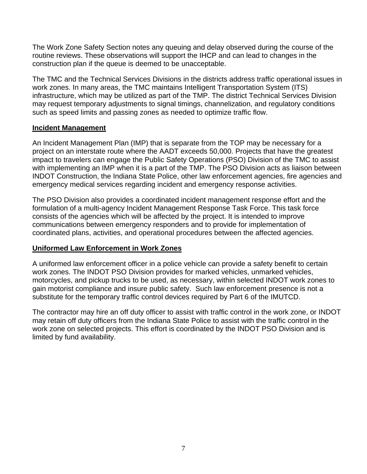The Work Zone Safety Section notes any queuing and delay observed during the course of the routine reviews. These observations will support the IHCP and can lead to changes in the construction plan if the queue is deemed to be unacceptable.

The TMC and the Technical Services Divisions in the districts address traffic operational issues in work zones. In many areas, the TMC maintains Intelligent Transportation System (ITS) infrastructure, which may be utilized as part of the TMP. The district Technical Services Division may request temporary adjustments to signal timings, channelization, and regulatory conditions such as speed limits and passing zones as needed to optimize traffic flow.

#### **Incident Management**

An Incident Management Plan (IMP) that is separate from the TOP may be necessary for a project on an interstate route where the AADT exceeds 50,000. Projects that have the greatest impact to travelers can engage the Public Safety Operations (PSO) Division of the TMC to assist with implementing an IMP when it is a part of the TMP. The PSO Division acts as liaison between INDOT Construction, the Indiana State Police, other law enforcement agencies, fire agencies and emergency medical services regarding incident and emergency response activities.

The PSO Division also provides a coordinated incident management response effort and the formulation of a multi-agency Incident Management Response Task Force. This task force consists of the agencies which will be affected by the project. It is intended to improve communications between emergency responders and to provide for implementation of coordinated plans, activities, and operational procedures between the affected agencies.

#### **Uniformed Law Enforcement in Work Zones**

A uniformed law enforcement officer in a police vehicle can provide a safety benefit to certain work zones. The INDOT PSO Division provides for marked vehicles, unmarked vehicles, motorcycles, and pickup trucks to be used, as necessary, within selected INDOT work zones to gain motorist compliance and insure public safety. Such law enforcement presence is not a substitute for the temporary traffic control devices required by Part 6 of the IMUTCD.

The contractor may hire an off duty officer to assist with traffic control in the work zone, or INDOT may retain off duty officers from the Indiana State Police to assist with the traffic control in the work zone on selected projects. This effort is coordinated by the INDOT PSO Division and is limited by fund availability.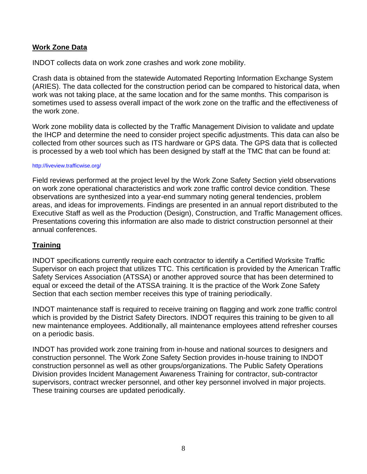#### **Work Zone Data**

INDOT collects data on work zone crashes and work zone mobility.

Crash data is obtained from the statewide Automated Reporting Information Exchange System (ARIES). The data collected for the construction period can be compared to historical data, when work was not taking place, at the same location and for the same months. This comparison is sometimes used to assess overall impact of the work zone on the traffic and the effectiveness of the work zone.

Work zone mobility data is collected by the Traffic Management Division to validate and update the IHCP and determine the need to consider project specific adjustments. This data can also be collected from other sources such as ITS hardware or GPS data. The GPS data that is collected is processed by a web tool which has been designed by staff at the TMC that can be found at:

#### http://liveview.trafficwise.org/

Field reviews performed at the project level by the Work Zone Safety Section yield observations on work zone operational characteristics and work zone traffic control device condition. These observations are synthesized into a year-end summary noting general tendencies, problem areas, and ideas for improvements. Findings are presented in an annual report distributed to the Executive Staff as well as the Production (Design), Construction, and Traffic Management offices. Presentations covering this information are also made to district construction personnel at their annual conferences.

#### **Training**

INDOT specifications currently require each contractor to identify a Certified Worksite Traffic Supervisor on each project that utilizes TTC. This certification is provided by the American Traffic Safety Services Association (ATSSA) or another approved source that has been determined to equal or exceed the detail of the ATSSA training. It is the practice of the Work Zone Safety Section that each section member receives this type of training periodically.

INDOT maintenance staff is required to receive training on flagging and work zone traffic control which is provided by the District Safety Directors. INDOT requires this training to be given to all new maintenance employees. Additionally, all maintenance employees attend refresher courses on a periodic basis.

INDOT has provided work zone training from in-house and national sources to designers and construction personnel. The Work Zone Safety Section provides in-house training to INDOT construction personnel as well as other groups/organizations. The Public Safety Operations Division provides Incident Management Awareness Training for contractor, sub-contractor supervisors, contract wrecker personnel, and other key personnel involved in major projects. These training courses are updated periodically.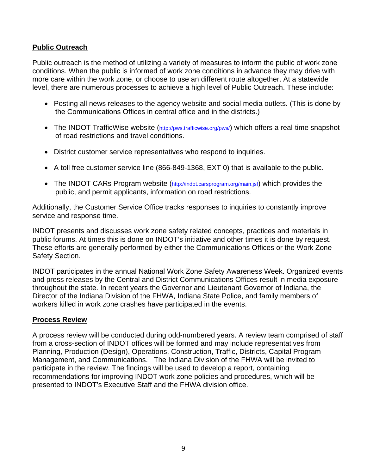#### **Public Outreach**

Public outreach is the method of utilizing a variety of measures to inform the public of work zone conditions. When the public is informed of work zone conditions in advance they may drive with more care within the work zone, or choose to use an different route altogether. At a statewide level, there are numerous processes to achieve a high level of Public Outreach. These include:

- Posting all news releases to the agency website and social media outlets. (This is done by the Communications Offices in central office and in the districts.)
- The INDOT TrafficWise website (http://pws.trafficwise.org/pws/) which offers a real-time snapshot of road restrictions and travel conditions.
- District customer service representatives who respond to inquiries.
- A toll free customer service line (866-849-1368, EXT 0) that is available to the public.
- The INDOT CARs Program website (http://indot.carsprogram.org/main.jsf) which provides the public, and permit applicants, information on road restrictions.

Additionally, the Customer Service Office tracks responses to inquiries to constantly improve service and response time.

INDOT presents and discusses work zone safety related concepts, practices and materials in public forums. At times this is done on INDOT's initiative and other times it is done by request. These efforts are generally performed by either the Communications Offices or the Work Zone Safety Section.

INDOT participates in the annual National Work Zone Safety Awareness Week. Organized events and press releases by the Central and District Communications Offices result in media exposure throughout the state. In recent years the Governor and Lieutenant Governor of Indiana, the Director of the Indiana Division of the FHWA, Indiana State Police, and family members of workers killed in work zone crashes have participated in the events.

#### **Process Review**

A process review will be conducted during odd-numbered years. A review team comprised of staff from a cross-section of INDOT offices will be formed and may include representatives from Planning, Production (Design), Operations, Construction, Traffic, Districts, Capital Program Management, and Communications. The Indiana Division of the FHWA will be invited to participate in the review. The findings will be used to develop a report, containing recommendations for improving INDOT work zone policies and procedures, which will be presented to INDOT's Executive Staff and the FHWA division office.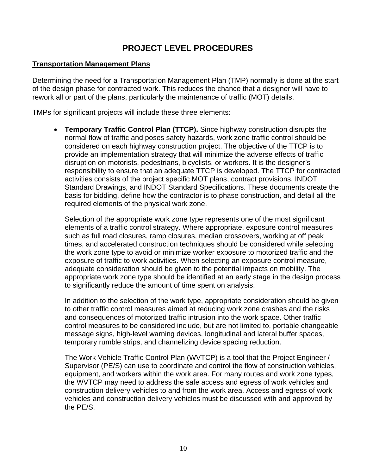## **PROJECT LEVEL PROCEDURES**

#### **Transportation Management Plans**

Determining the need for a Transportation Management Plan (TMP) normally is done at the start of the design phase for contracted work. This reduces the chance that a designer will have to rework all or part of the plans, particularly the maintenance of traffic (MOT) details.

TMPs for significant projects will include these three elements:

 **Temporary Traffic Control Plan (TTCP).** Since highway construction disrupts the normal flow of traffic and poses safety hazards, work zone traffic control should be considered on each highway construction project. The objective of the TTCP is to provide an implementation strategy that will minimize the adverse effects of traffic disruption on motorists, pedestrians, bicyclists, or workers. It is the designer's responsibility to ensure that an adequate TTCP is developed. The TTCP for contracted activities consists of the project specific MOT plans, contract provisions, INDOT Standard Drawings, and INDOT Standard Specifications. These documents create the basis for bidding, define how the contractor is to phase construction, and detail all the required elements of the physical work zone.

Selection of the appropriate work zone type represents one of the most significant elements of a traffic control strategy. Where appropriate, exposure control measures such as full road closures, ramp closures, median crossovers, working at off peak times, and accelerated construction techniques should be considered while selecting the work zone type to avoid or minimize worker exposure to motorized traffic and the exposure of traffic to work activities. When selecting an exposure control measure, adequate consideration should be given to the potential impacts on mobility. The appropriate work zone type should be identified at an early stage in the design process to significantly reduce the amount of time spent on analysis.

In addition to the selection of the work type, appropriate consideration should be given to other traffic control measures aimed at reducing work zone crashes and the risks and consequences of motorized traffic intrusion into the work space. Other traffic control measures to be considered include, but are not limited to, portable changeable message signs, high-level warning devices, longitudinal and lateral buffer spaces, temporary rumble strips, and channelizing device spacing reduction.

The Work Vehicle Traffic Control Plan (WVTCP) is a tool that the Project Engineer / Supervisor (PE/S) can use to coordinate and control the flow of construction vehicles, equipment, and workers within the work area. For many routes and work zone types, the WVTCP may need to address the safe access and egress of work vehicles and construction delivery vehicles to and from the work area. Access and egress of work vehicles and construction delivery vehicles must be discussed with and approved by the PE/S.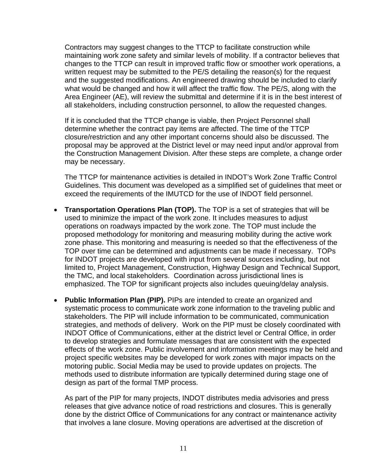Contractors may suggest changes to the TTCP to facilitate construction while maintaining work zone safety and similar levels of mobility. If a contractor believes that changes to the TTCP can result in improved traffic flow or smoother work operations, a written request may be submitted to the PE/S detailing the reason(s) for the request and the suggested modifications. An engineered drawing should be included to clarify what would be changed and how it will affect the traffic flow. The PE/S, along with the Area Engineer (AE), will review the submittal and determine if it is in the best interest of all stakeholders, including construction personnel, to allow the requested changes.

If it is concluded that the TTCP change is viable, then Project Personnel shall determine whether the contract pay items are affected. The time of the TTCP closure/restriction and any other important concerns should also be discussed. The proposal may be approved at the District level or may need input and/or approval from the Construction Management Division. After these steps are complete, a change order may be necessary.

The TTCP for maintenance activities is detailed in INDOT's Work Zone Traffic Control Guidelines. This document was developed as a simplified set of guidelines that meet or exceed the requirements of the IMUTCD for the use of INDOT field personnel.

- **Transportation Operations Plan (TOP).** The TOP is a set of strategies that will be used to minimize the impact of the work zone. It includes measures to adjust operations on roadways impacted by the work zone. The TOP must include the proposed methodology for monitoring and measuring mobility during the active work zone phase. This monitoring and measuring is needed so that the effectiveness of the TOP over time can be determined and adjustments can be made if necessary. TOPs for INDOT projects are developed with input from several sources including, but not limited to, Project Management, Construction, Highway Design and Technical Support, the TMC, and local stakeholders. Coordination across jurisdictional lines is emphasized. The TOP for significant projects also includes queuing/delay analysis.
- **Public Information Plan (PIP).** PIPs are intended to create an organized and systematic process to communicate work zone information to the traveling public and stakeholders. The PIP will include information to be communicated, communication strategies, and methods of delivery. Work on the PIP must be closely coordinated with INDOT Office of Communications, either at the district level or Central Office, in order to develop strategies and formulate messages that are consistent with the expected effects of the work zone. Public involvement and information meetings may be held and project specific websites may be developed for work zones with major impacts on the motoring public. Social Media may be used to provide updates on projects. The methods used to distribute information are typically determined during stage one of design as part of the formal TMP process.

As part of the PIP for many projects, INDOT distributes media advisories and press releases that give advance notice of road restrictions and closures. This is generally done by the district Office of Communications for any contract or maintenance activity that involves a lane closure. Moving operations are advertised at the discretion of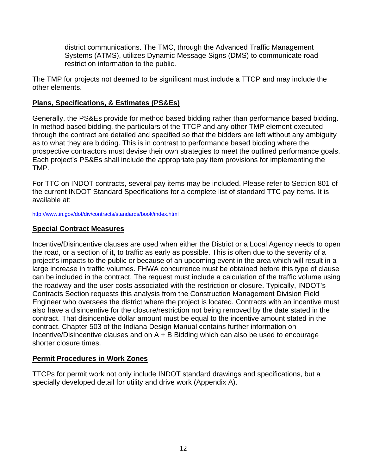district communications. The TMC, through the Advanced Traffic Management Systems (ATMS), utilizes Dynamic Message Signs (DMS) to communicate road restriction information to the public.

The TMP for projects not deemed to be significant must include a TTCP and may include the other elements.

#### **Plans, Specifications, & Estimates (PS&Es)**

Generally, the PS&Es provide for method based bidding rather than performance based bidding. In method based bidding, the particulars of the TTCP and any other TMP element executed through the contract are detailed and specified so that the bidders are left without any ambiguity as to what they are bidding. This is in contrast to performance based bidding where the prospective contractors must devise their own strategies to meet the outlined performance goals. Each project's PS&Es shall include the appropriate pay item provisions for implementing the TMP.

For TTC on INDOT contracts, several pay items may be included. Please refer to Section 801 of the current INDOT Standard Specifications for a complete list of standard TTC pay items. It is available at:

http://www.in.gov/dot/div/contracts/standards/book/index.html

#### **Special Contract Measures**

Incentive/Disincentive clauses are used when either the District or a Local Agency needs to open the road, or a section of it, to traffic as early as possible. This is often due to the severity of a project's impacts to the public or because of an upcoming event in the area which will result in a large increase in traffic volumes. FHWA concurrence must be obtained before this type of clause can be included in the contract. The request must include a calculation of the traffic volume using the roadway and the user costs associated with the restriction or closure. Typically, INDOT's Contracts Section requests this analysis from the Construction Management Division Field Engineer who oversees the district where the project is located. Contracts with an incentive must also have a disincentive for the closure/restriction not being removed by the date stated in the contract. That disincentive dollar amount must be equal to the incentive amount stated in the contract. Chapter 503 of the Indiana Design Manual contains further information on Incentive/Disincentive clauses and on  $A + B$  Bidding which can also be used to encourage shorter closure times.

#### **Permit Procedures in Work Zones**

TTCPs for permit work not only include INDOT standard drawings and specifications, but a specially developed detail for utility and drive work (Appendix A).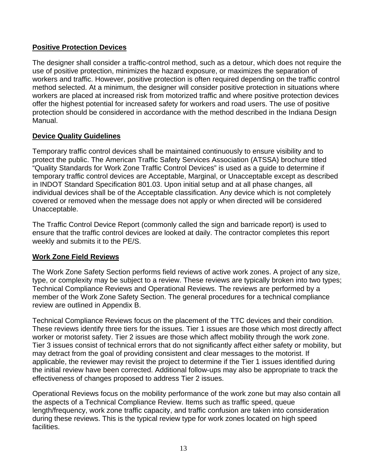#### **Positive Protection Devices**

The designer shall consider a traffic-control method, such as a detour, which does not require the use of positive protection, minimizes the hazard exposure, or maximizes the separation of workers and traffic. However, positive protection is often required depending on the traffic control method selected. At a minimum, the designer will consider positive protection in situations where workers are placed at increased risk from motorized traffic and where positive protection devices offer the highest potential for increased safety for workers and road users. The use of positive protection should be considered in accordance with the method described in the Indiana Design Manual.

#### **Device Quality Guidelines**

Temporary traffic control devices shall be maintained continuously to ensure visibility and to protect the public. The American Traffic Safety Services Association (ATSSA) brochure titled "Quality Standards for Work Zone Traffic Control Devices" is used as a guide to determine if temporary traffic control devices are Acceptable, Marginal, or Unacceptable except as described in INDOT Standard Specification 801.03. Upon initial setup and at all phase changes, all individual devices shall be of the Acceptable classification. Any device which is not completely covered or removed when the message does not apply or when directed will be considered Unacceptable.

The Traffic Control Device Report (commonly called the sign and barricade report) is used to ensure that the traffic control devices are looked at daily. The contractor completes this report weekly and submits it to the PE/S.

#### **Work Zone Field Reviews**

The Work Zone Safety Section performs field reviews of active work zones. A project of any size, type, or complexity may be subject to a review. These reviews are typically broken into two types; Technical Compliance Reviews and Operational Reviews. The reviews are performed by a member of the Work Zone Safety Section. The general procedures for a technical compliance review are outlined in Appendix B.

Technical Compliance Reviews focus on the placement of the TTC devices and their condition. These reviews identify three tiers for the issues. Tier 1 issues are those which most directly affect worker or motorist safety. Tier 2 issues are those which affect mobility through the work zone. Tier 3 issues consist of technical errors that do not significantly affect either safety or mobility, but may detract from the goal of providing consistent and clear messages to the motorist. If applicable, the reviewer may revisit the project to determine if the Tier 1 issues identified during the initial review have been corrected. Additional follow-ups may also be appropriate to track the effectiveness of changes proposed to address Tier 2 issues.

Operational Reviews focus on the mobility performance of the work zone but may also contain all the aspects of a Technical Compliance Review. Items such as traffic speed, queue length/frequency, work zone traffic capacity, and traffic confusion are taken into consideration during these reviews. This is the typical review type for work zones located on high speed facilities.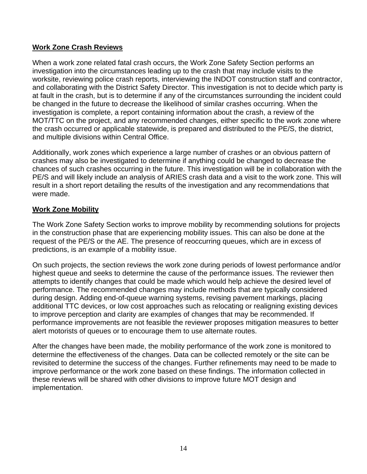#### **Work Zone Crash Reviews**

When a work zone related fatal crash occurs, the Work Zone Safety Section performs an investigation into the circumstances leading up to the crash that may include visits to the worksite, reviewing police crash reports, interviewing the INDOT construction staff and contractor, and collaborating with the District Safety Director. This investigation is not to decide which party is at fault in the crash, but is to determine if any of the circumstances surrounding the incident could be changed in the future to decrease the likelihood of similar crashes occurring. When the investigation is complete, a report containing information about the crash, a review of the MOT/TTC on the project, and any recommended changes, either specific to the work zone where the crash occurred or applicable statewide, is prepared and distributed to the PE/S, the district, and multiple divisions within Central Office.

Additionally, work zones which experience a large number of crashes or an obvious pattern of crashes may also be investigated to determine if anything could be changed to decrease the chances of such crashes occurring in the future. This investigation will be in collaboration with the PE/S and will likely include an analysis of ARIES crash data and a visit to the work zone. This will result in a short report detailing the results of the investigation and any recommendations that were made.

#### **Work Zone Mobility**

The Work Zone Safety Section works to improve mobility by recommending solutions for projects in the construction phase that are experiencing mobility issues. This can also be done at the request of the PE/S or the AE. The presence of reoccurring queues, which are in excess of predictions, is an example of a mobility issue.

On such projects, the section reviews the work zone during periods of lowest performance and/or highest queue and seeks to determine the cause of the performance issues. The reviewer then attempts to identify changes that could be made which would help achieve the desired level of performance. The recommended changes may include methods that are typically considered during design. Adding end-of-queue warning systems, revising pavement markings, placing additional TTC devices, or low cost approaches such as relocating or realigning existing devices to improve perception and clarity are examples of changes that may be recommended. If performance improvements are not feasible the reviewer proposes mitigation measures to better alert motorists of queues or to encourage them to use alternate routes.

After the changes have been made, the mobility performance of the work zone is monitored to determine the effectiveness of the changes. Data can be collected remotely or the site can be revisited to determine the success of the changes. Further refinements may need to be made to improve performance or the work zone based on these findings. The information collected in these reviews will be shared with other divisions to improve future MOT design and implementation.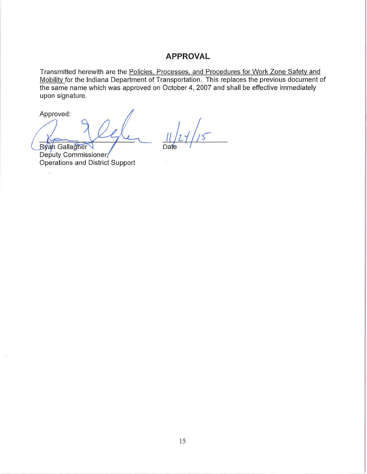#### **APPROVAL**

Transmitted herewith are the Policies, Processes, and Procedures for Work Zone Safety and Mobility for the Indiana Department of Transportation. This replaces the previous document of the same name which was approved on October 4, 2007 and shall be effective immediately upon signature.

Approved:

**Ryan** Gallagher

Deputy Commissioner, **Operations and District Support**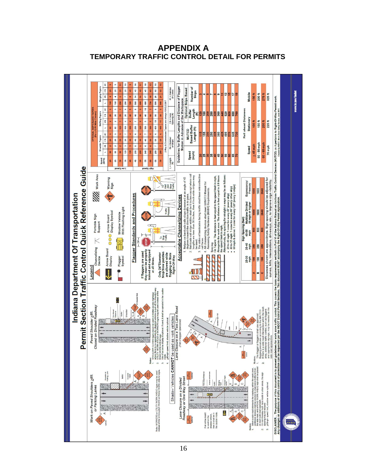

**APPENDIX A TEMPORARY TRAFFIC CONTROL DETAIL FOR PERMITS**